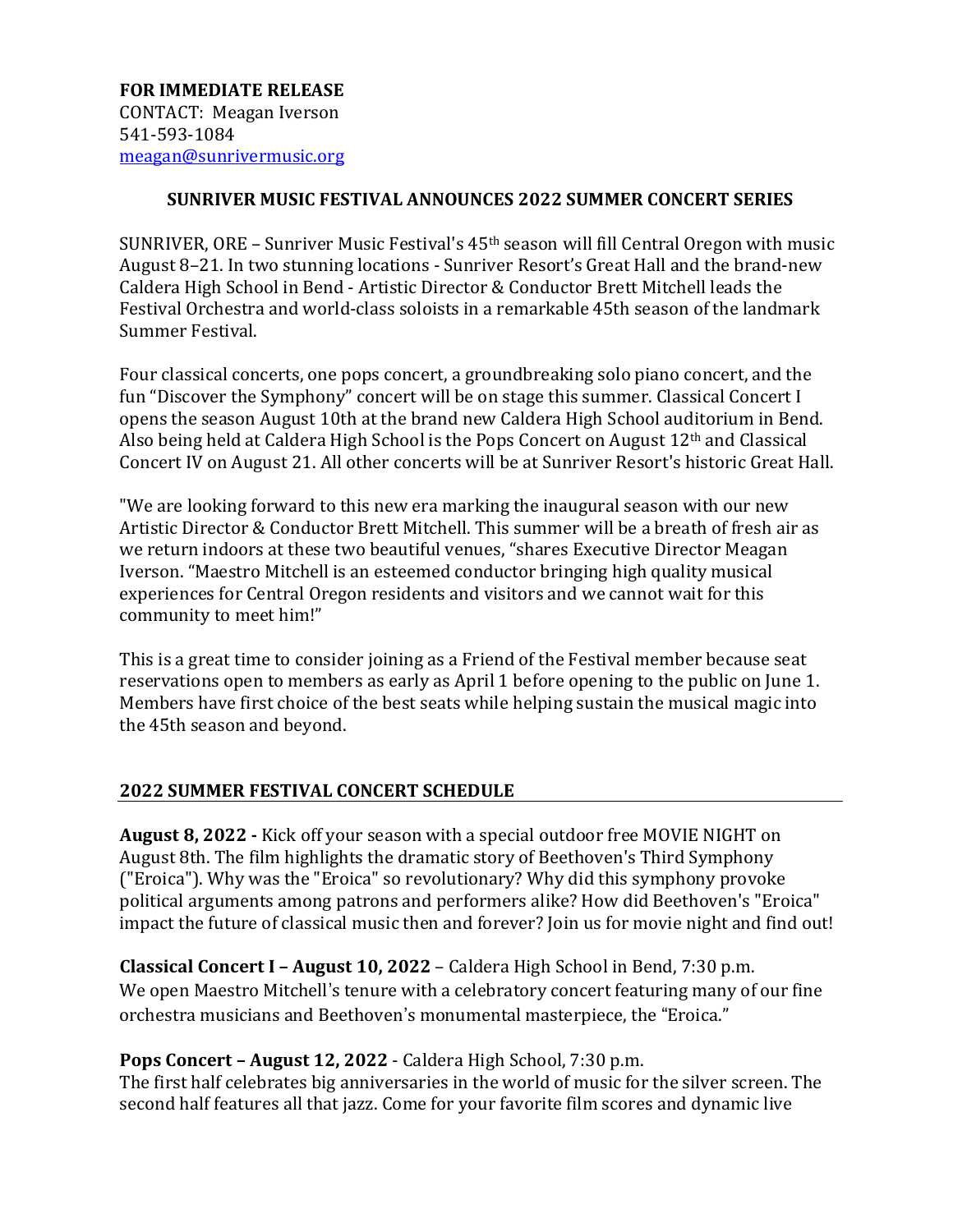## **SUNRIVER MUSIC FESTIVAL ANNOUNCES 2022 SUMMER CONCERT SERIES**

SUNRIVER, ORE – Sunriver Music Festival's 45th season will fill Central Oregon with music August 8–21. In two stunning locations - Sunriver Resort's Great Hall and the brand-new Caldera High School in Bend - Artistic Director & Conductor Brett Mitchell leads the Festival Orchestra and world-class soloists in a remarkable 45th season of the landmark Summer Festival.

Four classical concerts, one pops concert, a groundbreaking solo piano concert, and the fun "Discover the Symphony" concert will be on stage this summer. Classical Concert I opens the season August 10th at the brand new Caldera High School auditorium in Bend. Also being held at Caldera High School is the Pops Concert on August 12<sup>th</sup> and Classical Concert IV on August 21. All other concerts will be at Sunriver Resort's historic Great Hall.

"We are looking forward to this new era marking the inaugural season with our new Artistic Director & Conductor Brett Mitchell. This summer will be a breath of fresh air as we return indoors at these two beautiful venues, "shares Executive Director Meagan Iverson. "Maestro Mitchell is an esteemed conductor bringing high quality musical experiences for Central Oregon residents and visitors and we cannot wait for this community to meet him!"

This is a great time to consider joining as a Friend of the Festival member because seat reservations open to members as early as April 1 before opening to the public on June 1. Members have first choice of the best seats while helping sustain the musical magic into the 45th season and beyond.

## **2022 SUMMER FESTIVAL CONCERT SCHEDULE**

**August 8, 2022 -** Kick off your season with a special outdoor free MOVIE NIGHT on August 8th. The film highlights the dramatic story of Beethoven's Third Symphony ("Eroica"). Why was the "Eroica" so revolutionary? Why did this symphony provoke political arguments among patrons and performers alike? How did Beethoven's "Eroica" impact the future of classical music then and forever? Join us for movie night and find out!

**Classical Concert I – August 10, 2022** – Caldera High School in Bend, 7:30 p.m. We open Maestro Mitchell's tenure with a celebratory concert featuring many of our fine orchestra musicians and Beethoven's monumental masterpiece, the "Eroica."

**Pops Concert – August 12, 2022** - Caldera High School, 7:30 p.m.

The first half celebrates big anniversaries in the world of music for the silver screen. The second half features all that jazz. Come for your favorite film scores and dynamic live